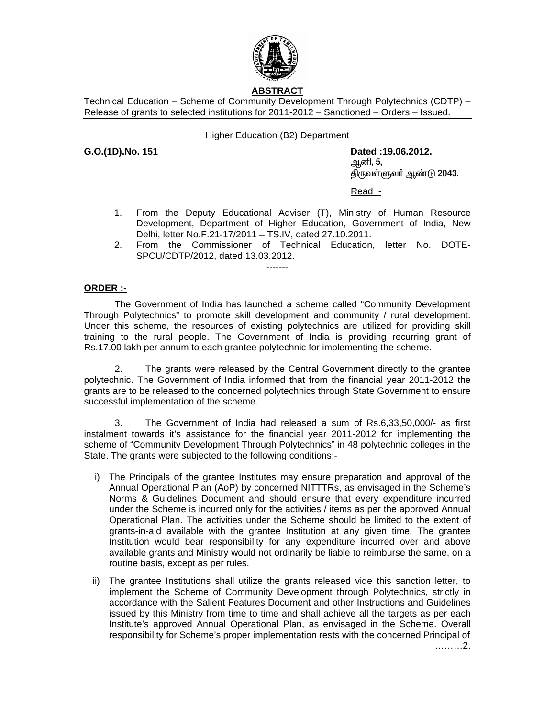

# **ABSTRACT**

Technical Education – Scheme of Community Development Through Polytechnics (CDTP) – Release of grants to selected institutions for 2011-2012 – Sanctioned – Orders – Issued.

## Higher Education (B2) Department

**G.O.(1D).No. 151 Dated :19.06.2012.**  <u>ஆ</u>னி, 5, திருவள்ளுவர் ஆண்டு 2043.

Read :-

- 1. From the Deputy Educational Adviser (T), Ministry of Human Resource Development, Department of Higher Education, Government of India, New Delhi, letter No.F.21-17/2011 – TS.IV, dated 27.10.2011.
- 2. From the Commissioner of Technical Education, letter No. DOTE-SPCU/CDTP/2012, dated 13.03.2012.

-------

### **ORDER :-**

 The Government of India has launched a scheme called "Community Development Through Polytechnics" to promote skill development and community / rural development. Under this scheme, the resources of existing polytechnics are utilized for providing skill training to the rural people. The Government of India is providing recurring grant of Rs.17.00 lakh per annum to each grantee polytechnic for implementing the scheme.

 2. The grants were released by the Central Government directly to the grantee polytechnic. The Government of India informed that from the financial year 2011-2012 the grants are to be released to the concerned polytechnics through State Government to ensure successful implementation of the scheme.

 3. The Government of India had released a sum of Rs.6,33,50,000/- as first instalment towards it's assistance for the financial year 2011-2012 for implementing the scheme of "Community Development Through Polytechnics" in 48 polytechnic colleges in the State. The grants were subjected to the following conditions:-

- i) The Principals of the grantee Institutes may ensure preparation and approval of the Annual Operational Plan (AoP) by concerned NITTTRs, as envisaged in the Scheme's Norms & Guidelines Document and should ensure that every expenditure incurred under the Scheme is incurred only for the activities / items as per the approved Annual Operational Plan. The activities under the Scheme should be limited to the extent of grants-in-aid available with the grantee Institution at any given time. The grantee Institution would bear responsibility for any expenditure incurred over and above available grants and Ministry would not ordinarily be liable to reimburse the same, on a routine basis, except as per rules.
- ii) The grantee Institutions shall utilize the grants released vide this sanction letter, to implement the Scheme of Community Development through Polytechnics, strictly in accordance with the Salient Features Document and other Instructions and Guidelines issued by this Ministry from time to time and shall achieve all the targets as per each Institute's approved Annual Operational Plan, as envisaged in the Scheme. Overall responsibility for Scheme's proper implementation rests with the concerned Principal of

………2.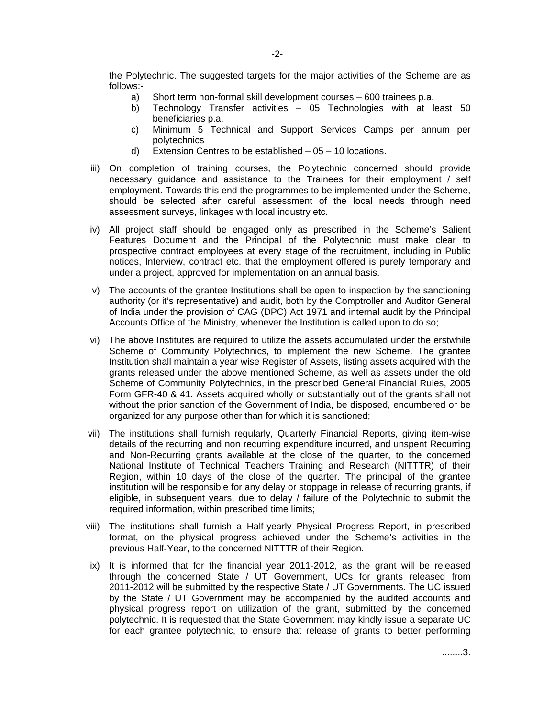the Polytechnic. The suggested targets for the major activities of the Scheme are as follows:-

- a) Short term non-formal skill development courses 600 trainees p.a.
- b) Technology Transfer activities 05 Technologies with at least 50 beneficiaries p.a.
- c) Minimum 5 Technical and Support Services Camps per annum per polytechnics
- d) Extension Centres to be established 05 10 locations.
- iii) On completion of training courses, the Polytechnic concerned should provide necessary guidance and assistance to the Trainees for their employment / self employment. Towards this end the programmes to be implemented under the Scheme, should be selected after careful assessment of the local needs through need assessment surveys, linkages with local industry etc.
- iv) All project staff should be engaged only as prescribed in the Scheme's Salient Features Document and the Principal of the Polytechnic must make clear to prospective contract employees at every stage of the recruitment, including in Public notices, Interview, contract etc. that the employment offered is purely temporary and under a project, approved for implementation on an annual basis.
- v) The accounts of the grantee Institutions shall be open to inspection by the sanctioning authority (or it's representative) and audit, both by the Comptroller and Auditor General of India under the provision of CAG (DPC) Act 1971 and internal audit by the Principal Accounts Office of the Ministry, whenever the Institution is called upon to do so;
- vi) The above Institutes are required to utilize the assets accumulated under the erstwhile Scheme of Community Polytechnics, to implement the new Scheme. The grantee Institution shall maintain a year wise Register of Assets, listing assets acquired with the grants released under the above mentioned Scheme, as well as assets under the old Scheme of Community Polytechnics, in the prescribed General Financial Rules, 2005 Form GFR-40 & 41. Assets acquired wholly or substantially out of the grants shall not without the prior sanction of the Government of India, be disposed, encumbered or be organized for any purpose other than for which it is sanctioned;
- vii) The institutions shall furnish regularly, Quarterly Financial Reports, giving item-wise details of the recurring and non recurring expenditure incurred, and unspent Recurring and Non-Recurring grants available at the close of the quarter, to the concerned National Institute of Technical Teachers Training and Research (NITTTR) of their Region, within 10 days of the close of the quarter. The principal of the grantee institution will be responsible for any delay or stoppage in release of recurring grants, if eligible, in subsequent years, due to delay / failure of the Polytechnic to submit the required information, within prescribed time limits;
- viii) The institutions shall furnish a Half-yearly Physical Progress Report, in prescribed format, on the physical progress achieved under the Scheme's activities in the previous Half-Year, to the concerned NITTTR of their Region.
- ix) It is informed that for the financial year 2011-2012, as the grant will be released through the concerned State / UT Government, UCs for grants released from 2011-2012 will be submitted by the respective State / UT Governments. The UC issued by the State / UT Government may be accompanied by the audited accounts and physical progress report on utilization of the grant, submitted by the concerned polytechnic. It is requested that the State Government may kindly issue a separate UC for each grantee polytechnic, to ensure that release of grants to better performing

........3.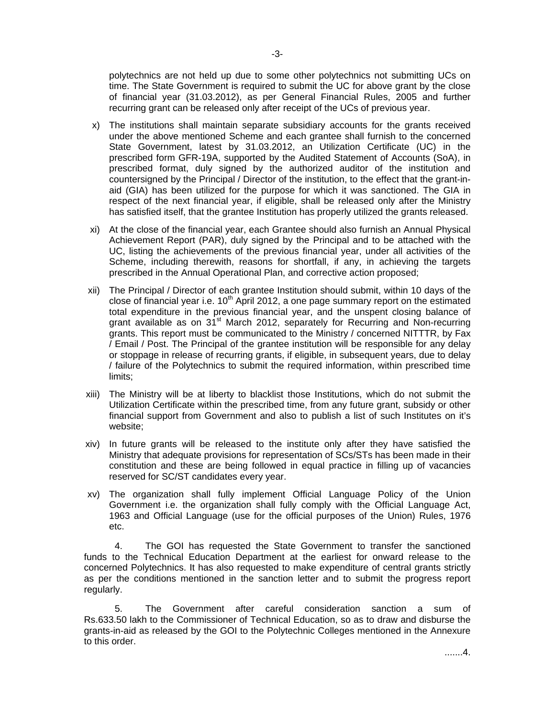polytechnics are not held up due to some other polytechnics not submitting UCs on time. The State Government is required to submit the UC for above grant by the close of financial year (31.03.2012), as per General Financial Rules, 2005 and further recurring grant can be released only after receipt of the UCs of previous year.

- x) The institutions shall maintain separate subsidiary accounts for the grants received under the above mentioned Scheme and each grantee shall furnish to the concerned State Government, latest by 31.03.2012, an Utilization Certificate (UC) in the prescribed form GFR-19A, supported by the Audited Statement of Accounts (SoA), in prescribed format, duly signed by the authorized auditor of the institution and countersigned by the Principal / Director of the institution, to the effect that the grant-inaid (GIA) has been utilized for the purpose for which it was sanctioned. The GIA in respect of the next financial year, if eligible, shall be released only after the Ministry has satisfied itself, that the grantee Institution has properly utilized the grants released.
- xi) At the close of the financial year, each Grantee should also furnish an Annual Physical Achievement Report (PAR), duly signed by the Principal and to be attached with the UC, listing the achievements of the previous financial year, under all activities of the Scheme, including therewith, reasons for shortfall, if any, in achieving the targets prescribed in the Annual Operational Plan, and corrective action proposed;
- xii) The Principal / Director of each grantee Institution should submit, within 10 days of the close of financial year i.e.  $10<sup>th</sup>$  April 2012, a one page summary report on the estimated total expenditure in the previous financial year, and the unspent closing balance of grant available as on  $31<sup>st</sup>$  March 2012, separately for Recurring and Non-recurring grants. This report must be communicated to the Ministry / concerned NITTTR, by Fax / Email / Post. The Principal of the grantee institution will be responsible for any delay or stoppage in release of recurring grants, if eligible, in subsequent years, due to delay / failure of the Polytechnics to submit the required information, within prescribed time limits;
- xiii) The Ministry will be at liberty to blacklist those Institutions, which do not submit the Utilization Certificate within the prescribed time, from any future grant, subsidy or other financial support from Government and also to publish a list of such Institutes on it's website;
- xiv) In future grants will be released to the institute only after they have satisfied the Ministry that adequate provisions for representation of SCs/STs has been made in their constitution and these are being followed in equal practice in filling up of vacancies reserved for SC/ST candidates every year.
- xv) The organization shall fully implement Official Language Policy of the Union Government i.e. the organization shall fully comply with the Official Language Act, 1963 and Official Language (use for the official purposes of the Union) Rules, 1976 etc.

 4. The GOI has requested the State Government to transfer the sanctioned funds to the Technical Education Department at the earliest for onward release to the concerned Polytechnics. It has also requested to make expenditure of central grants strictly as per the conditions mentioned in the sanction letter and to submit the progress report regularly.

 5. The Government after careful consideration sanction a sum of Rs.633.50 lakh to the Commissioner of Technical Education, so as to draw and disburse the grants-in-aid as released by the GOI to the Polytechnic Colleges mentioned in the Annexure to this order.

.......4.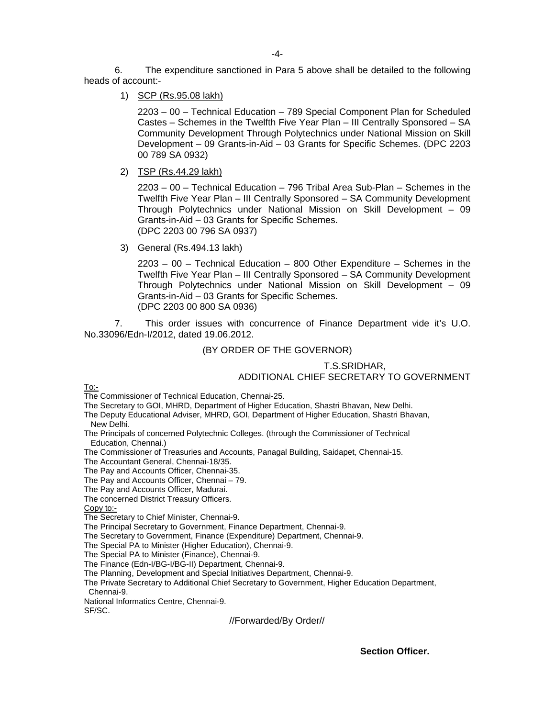6. The expenditure sanctioned in Para 5 above shall be detailed to the following heads of account:-

1) SCP (Rs.95.08 lakh)

 2203 – 00 – Technical Education – 789 Special Component Plan for Scheduled Castes – Schemes in the Twelfth Five Year Plan – III Centrally Sponsored – SA Community Development Through Polytechnics under National Mission on Skill Development – 09 Grants-in-Aid – 03 Grants for Specific Schemes. (DPC 2203 00 789 SA 0932)

2) TSP (Rs.44.29 lakh)

 2203 – 00 – Technical Education – 796 Tribal Area Sub-Plan – Schemes in the Twelfth Five Year Plan – III Centrally Sponsored – SA Community Development Through Polytechnics under National Mission on Skill Development – 09 Grants-in-Aid – 03 Grants for Specific Schemes. (DPC 2203 00 796 SA 0937)

3) General (Rs.494.13 lakh)

 2203 – 00 – Technical Education – 800 Other Expenditure – Schemes in the Twelfth Five Year Plan – III Centrally Sponsored – SA Community Development Through Polytechnics under National Mission on Skill Development – 09 Grants-in-Aid – 03 Grants for Specific Schemes. (DPC 2203 00 800 SA 0936)

 7. This order issues with concurrence of Finance Department vide it's U.O. No.33096/Edn-I/2012, dated 19.06.2012.

### (BY ORDER OF THE GOVERNOR)

## T.S.SRIDHAR, ADDITIONAL CHIEF SECRETARY TO GOVERNMENT

To:-

The Commissioner of Technical Education, Chennai-25.

The Secretary to GOI, MHRD, Department of Higher Education, Shastri Bhavan, New Delhi.

The Deputy Educational Adviser, MHRD, GOI, Department of Higher Education, Shastri Bhavan, New Delhi.

The Principals of concerned Polytechnic Colleges. (through the Commissioner of Technical Education, Chennai.)

The Commissioner of Treasuries and Accounts, Panagal Building, Saidapet, Chennai-15.

The Accountant General, Chennai-18/35.

The Pay and Accounts Officer, Chennai-35.

The Pay and Accounts Officer, Chennai – 79.

The Pay and Accounts Officer, Madurai.

The concerned District Treasury Officers.

Copy to:-

The Secretary to Chief Minister, Chennai-9.

The Principal Secretary to Government, Finance Department, Chennai-9.

The Secretary to Government, Finance (Expenditure) Department, Chennai-9.

The Special PA to Minister (Higher Education), Chennai-9.

The Special PA to Minister (Finance), Chennai-9.

The Finance (Edn-I/BG-I/BG-II) Department, Chennai-9.

The Planning, Development and Special Initiatives Department, Chennai-9.

The Private Secretary to Additional Chief Secretary to Government, Higher Education Department, Chennai-9.

National Informatics Centre, Chennai-9.

SF/SC.

//Forwarded/By Order//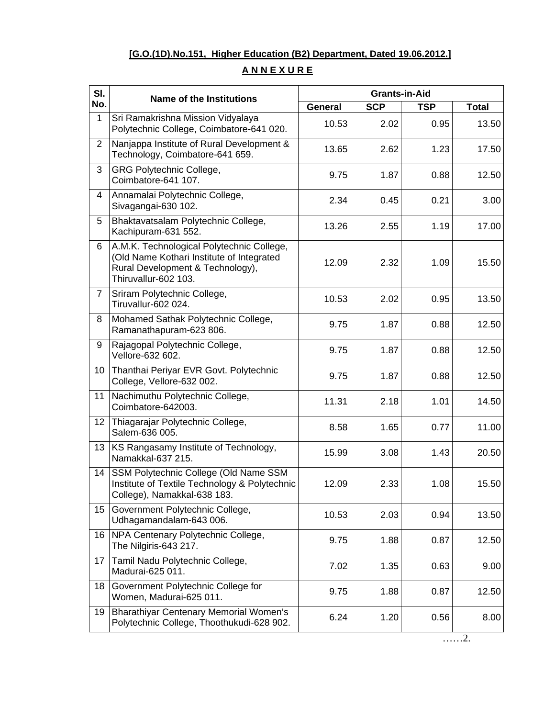## **[G.O.(1D).No.151, Higher Education (B2) Department, Dated 19.06.2012.]**

# SI. Name of the Institutions **Configuration** Crants-in-Aid **No. No. No. CONFING CONFING CONFING CONFING CONFING CONFING CONFING CONFINGLY** General SCP **TSP** Total 1 Sri Ramakrishna Mission Vidyalaya Polytechnic College, Coimbatore-641 020. 10.53 2.02 0.95 13.50 2 Naniappa Institute of Rural Development & Narijappa institute of Kural Development  $\alpha$  | 13.65  $|$  2.62 | 1.23 | 17.50 3 GRG Polytechnic College, Coimbatore-641 107. 9.75 1.87 0.88 12.50 4 Annamalai Polytechnic College, Annamalar Polytechnic College,<br>Sivagangai-630 102. 2.34 0.45 0.21 0.21 3.00 5 Bhaktavatsalam Polytechnic College, Briaktavatsalarii Polytechnic College,<br>Kachipuram-631 552. 17.00 6 A.M.K. Technological Polytechnic College, (Old Name Kothari Institute of Integrated Rural Development & Technology), Thiruvallur-602 103. 12.09 2.32 1.09 15.50 7 Sriram Polytechnic College, Uniam Tolytechnic College,  $\begin{vmatrix} 10.53 & 2.02 & 0.95 \\ 0.95 & 13.50 & 1 \end{vmatrix}$ 8 Mohamed Sathak Polytechnic College, Monamed Samak Polytechnic College, [2010] [2015 | 2016 1.87 | 2.50 | 2.50 | 12.50 | 2.50 | 2.50 | 2.50 | 2.50 | 9 Rajagopal Polytechnic College, Rajagopai Polytechnic College, [2001] [2015] [2015] [2016] [2016] [2016] [2016] [2016] [2016] [2016] [2016] [2<br>Vellore-632 602. 10 Thanthai Periyar EVR Govt. Polytechnic Thanmart enyar Evit Govt. Forytechnic (19.75 1.87 0.88 12.50 11 Nachimuthu Polytechnic College, Nachimumu Polytechnic College,<br>Coimbatore-642003. | 11.31 | 2.18 | 1.01 | 14.50 12 Thiagarajar Polytechnic College, Thiagarajar Folytechnic College, [2001] [2013] 8.58 [2013] 1.65 [2013] 0.77 [2013] 11.00 13 KS Rangasamy Institute of Technology, No Kangasaniy insilale of Fechnology,  $\begin{vmatrix} 15.99 & 3.08 & 1.43 \end{vmatrix}$  20.50 14 SSM Polytechnic College (Old Name SSM Institute of Textile Technology & Polytechnic College), Namakkal-638 183. 12.09 2.33 1.08 15.50 15 Government Polytechnic College, Udhagamandalam-643 006. <sup>201</sup> | 10.53 | 2.03 | 2.03 | 13.50 16 NPA Centenary Polytechnic College, The Nilgiris-643 217. (2010) 1997, The Nilgiris-643 217. 17 Tamil Nadu Polytechnic College, Tamili Nadu Polytechnic College,<br>Madurai-625 011. 1.35 | 1.35 | 1.35 | 9.00 18 Government Polytechnic College for Government Folytechnic College for  $\begin{vmatrix} 9.75 & 1.88 & 0.87 \end{vmatrix}$  12.50 19 Bharathiyar Centenary Memorial Women's Polytechnic College, Thoothukudi-628 902. | 6.24 | 1.20 0.56 | 8.00

# **A N N E X U R E**

……2.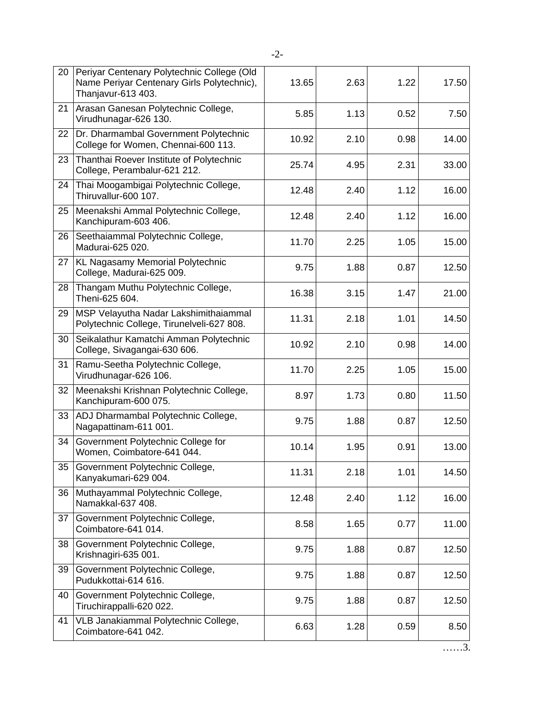| 20 | Periyar Centenary Polytechnic College (Old<br>Name Periyar Centenary Girls Polytechnic),<br>Thanjavur-613 403. | 13.65 | 2.63 | 1.22 | 17.50 |
|----|----------------------------------------------------------------------------------------------------------------|-------|------|------|-------|
| 21 | Arasan Ganesan Polytechnic College,<br>Virudhunagar-626 130.                                                   | 5.85  | 1.13 | 0.52 | 7.50  |
| 22 | Dr. Dharmambal Government Polytechnic<br>College for Women, Chennai-600 113.                                   | 10.92 | 2.10 | 0.98 | 14.00 |
| 23 | Thanthai Roever Institute of Polytechnic<br>College, Perambalur-621 212.                                       | 25.74 | 4.95 | 2.31 | 33.00 |
| 24 | Thai Moogambigai Polytechnic College,<br>Thiruvallur-600 107.                                                  | 12.48 | 2.40 | 1.12 | 16.00 |
| 25 | Meenakshi Ammal Polytechnic College,<br>Kanchipuram-603 406.                                                   | 12.48 | 2.40 | 1.12 | 16.00 |
| 26 | Seethaiammal Polytechnic College,<br>Madurai-625 020.                                                          | 11.70 | 2.25 | 1.05 | 15.00 |
| 27 | KL Nagasamy Memorial Polytechnic<br>College, Madurai-625 009.                                                  | 9.75  | 1.88 | 0.87 | 12.50 |
| 28 | Thangam Muthu Polytechnic College,<br>Theni-625 604.                                                           | 16.38 | 3.15 | 1.47 | 21.00 |
| 29 | MSP Velayutha Nadar Lakshimithaiammal<br>Polytechnic College, Tirunelveli-627 808.                             | 11.31 | 2.18 | 1.01 | 14.50 |
| 30 | Seikalathur Kamatchi Amman Polytechnic<br>College, Sivagangai-630 606.                                         | 10.92 | 2.10 | 0.98 | 14.00 |
| 31 | Ramu-Seetha Polytechnic College,<br>Virudhunagar-626 106.                                                      | 11.70 | 2.25 | 1.05 | 15.00 |
| 32 | Meenakshi Krishnan Polytechnic College,<br>Kanchipuram-600 075.                                                | 8.97  | 1.73 | 0.80 | 11.50 |
| 33 | ADJ Dharmambal Polytechnic College,<br>Nagapattinam-611 001.                                                   | 9.75  | 1.88 | 0.87 | 12.50 |
| 34 | Government Polytechnic College for<br>Women, Coimbatore-641 044.                                               | 10.14 | 1.95 | 0.91 | 13.00 |
| 35 | Government Polytechnic College,<br>Kanyakumari-629 004.                                                        | 11.31 | 2.18 | 1.01 | 14.50 |
| 36 | Muthayammal Polytechnic College,<br>Namakkal-637 408.                                                          | 12.48 | 2.40 | 1.12 | 16.00 |
| 37 | Government Polytechnic College,<br>Coimbatore-641 014.                                                         | 8.58  | 1.65 | 0.77 | 11.00 |
| 38 | Government Polytechnic College,<br>Krishnagiri-635 001.                                                        | 9.75  | 1.88 | 0.87 | 12.50 |
| 39 | Government Polytechnic College,<br>Pudukkottai-614 616.                                                        | 9.75  | 1.88 | 0.87 | 12.50 |
| 40 | Government Polytechnic College,<br>Tiruchirappalli-620 022.                                                    | 9.75  | 1.88 | 0.87 | 12.50 |
| 41 | VLB Janakiammal Polytechnic College,<br>Coimbatore-641 042.                                                    | 6.63  | 1.28 | 0.59 | 8.50  |
|    |                                                                                                                |       |      |      |       |

……3.